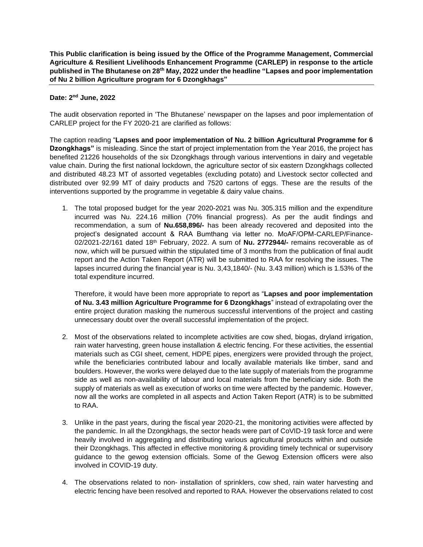**This Public clarification is being issued by the Office of the Programme Management, Commercial Agriculture & Resilient Livelihoods Enhancement Programme (CARLEP) in response to the article published in The Bhutanese on 28th May, 2022 under the headline "Lapses and poor implementation of Nu 2 billion Agriculture program for 6 Dzongkhags"**

## **Date: 2 nd June, 2022**

The audit observation reported in 'The Bhutanese' newspaper on the lapses and poor implementation of CARLEP project for the FY 2020-21 are clarified as follows:

The caption reading "**Lapses and poor implementation of Nu. 2 billion Agricultural Programme for 6 Dzongkhags"** is misleading. Since the start of project implementation from the Year 2016, the project has benefited 21226 households of the six Dzongkhags through various interventions in dairy and vegetable value chain. During the first national lockdown, the agriculture sector of six eastern Dzongkhags collected and distributed 48.23 MT of assorted vegetables (excluding potato) and Livestock sector collected and distributed over 92.99 MT of dairy products and 7520 cartons of eggs. These are the results of the interventions supported by the programme in vegetable & dairy value chains.

1. The total proposed budget for the year 2020-2021 was Nu. 305.315 million and the expenditure incurred was Nu. 224.16 million (70% financial progress). As per the audit findings and recommendation, a sum of **Nu.658,896/-** has been already recovered and deposited into the project's designated account & RAA Bumthang via letter no. MoAF/OPM-CARLEP/Finance-02/2021-22/161 dated 18<sup>th</sup> February, 2022. A sum of Nu. 2772944/- remains recoverable as of now, which will be pursued within the stipulated time of 3 months from the publication of final audit report and the Action Taken Report (ATR) will be submitted to RAA for resolving the issues. The lapses incurred during the financial year is Nu. 3,43,1840/- (Nu. 3.43 million) which is 1.53% of the total expenditure incurred.

Therefore, it would have been more appropriate to report as "**Lapses and poor implementation of Nu. 3.43 million Agriculture Programme for 6 Dzongkhags**" instead of extrapolating over the entire project duration masking the numerous successful interventions of the project and casting unnecessary doubt over the overall successful implementation of the project.

- 2. Most of the observations related to incomplete activities are cow shed, biogas, dryland irrigation, rain water harvesting, green house installation & electric fencing. For these activities, the essential materials such as CGI sheet, cement, HDPE pipes, energizers were provided through the project, while the beneficiaries contributed labour and locally available materials like timber, sand and boulders. However, the works were delayed due to the late supply of materials from the programme side as well as non-availability of labour and local materials from the beneficiary side. Both the supply of materials as well as execution of works on time were affected by the pandemic. However, now all the works are completed in all aspects and Action Taken Report (ATR) is to be submitted to RAA.
- 3. Unlike in the past years, during the fiscal year 2020-21, the monitoring activities were affected by the pandemic. In all the Dzongkhags, the sector heads were part of CoVID-19 task force and were heavily involved in aggregating and distributing various agricultural products within and outside their Dzongkhags. This affected in effective monitoring & providing timely technical or supervisory guidance to the gewog extension officials. Some of the Gewog Extension officers were also involved in COVID-19 duty.
- 4. The observations related to non- installation of sprinklers, cow shed, rain water harvesting and electric fencing have been resolved and reported to RAA. However the observations related to cost